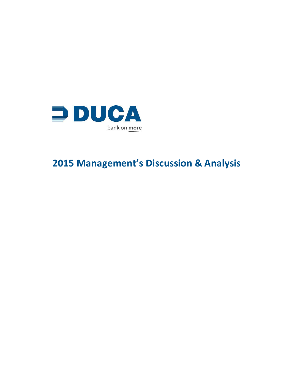

# **2015 Management's Discussion & Analysis**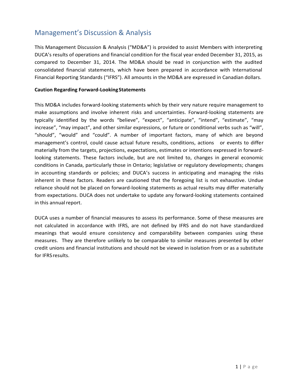# Management's Discussion & Analysis

This Management Discussion & Analysis ("MD&A") is provided to assist Members with interpreting DUCA's results of operations and financial condition for the fiscal year ended December 31, 2015, as compared to December 31, 2014. The MD&A should be read in conjunction with the audited consolidated financial statements, which have been prepared in accordance with International Financial Reporting Standards ("IFRS"). All amounts in the MD&A are expressed in Canadian dollars.

#### **Caution Regarding Forward-LookingStatements**

This MD&A includes forward-looking statements which by their very nature require management to make assumptions and involve inherent risks and uncertainties. Forward-looking statements are typically identified by the words "believe", "expect", "anticipate", "intend", "estimate", "may increase", "may impact", and other similar expressions, or future or conditional verbs such as "will", "should", "would" and "could". A number of important factors, many of which are beyond management's control, could cause actual future results, conditions, actions or events to differ materially from the targets, projections, expectations, estimates or intentions expressed in forwardlooking statements. These factors include, but are not limited to, changes in general economic conditions in Canada, particularly those in Ontario; legislative or regulatory developments; changes in accounting standards or policies; and DUCA's success in anticipating and managing the risks inherent in these factors. Readers are cautioned that the foregoing list is not exhaustive. Undue reliance should not be placed on forward-looking statements as actual results may differ materially from expectations. DUCA does not undertake to update any forward-looking statements contained in this annual report.

DUCA uses a number of financial measures to assess its performance. Some of these measures are not calculated in accordance with IFRS, are not defined by IFRS and do not have standardized meanings that would ensure consistency and comparability between companies using these measures. They are therefore unlikely to be comparable to similar measures presented by other credit unions and financial institutions and should not be viewed in isolation from or as a substitute for IFRS results.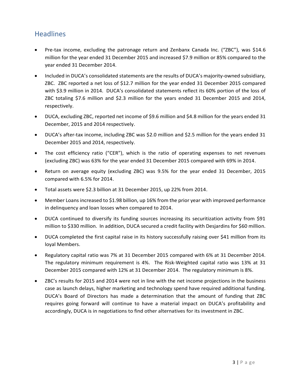# **Headlines**

- Pre-tax income, excluding the patronage return and Zenbanx Canada Inc. ("ZBC"), was \$14.6 million for the year ended 31 December 2015 and increased \$7.9 million or 85% compared to the year ended 31 December 2014.
- Included in DUCA's consolidated statements are the results of DUCA's majority-owned subsidiary, ZBC. ZBC reported a net loss of \$12.7 million for the year ended 31 December 2015 compared with \$3.9 million in 2014. DUCA's consolidated statements reflect its 60% portion of the loss of ZBC totaling \$7.6 million and \$2.3 million for the years ended 31 December 2015 and 2014, respectively.
- DUCA, excluding ZBC, reported net income of \$9.6 million and \$4.8 million for the years ended 31 December, 2015 and 2014 respectively.
- DUCA's after-tax income, including ZBC was \$2.0 million and \$2.5 million for the years ended 31 December 2015 and 2014, respectively.
- The cost efficiency ratio ("CER"), which is the ratio of operating expenses to net revenues (excluding ZBC) was 63% for the year ended 31 December 2015 compared with 69% in 2014.
- Return on average equity (excluding ZBC) was 9.5% for the year ended 31 December, 2015 compared with 6.5% for 2014.
- Total assets were \$2.3 billion at 31 December 2015, up 22% from 2014.
- Member Loans increased to \$1.98 billion, up 16% from the prior year with improved performance in delinquency and loan losses when compared to 2014.
- DUCA continued to diversify its funding sources increasing its securitization activity from \$91 million to \$330 million. In addition, DUCA secured a credit facility with Desjardins for \$60 million.
- DUCA completed the first capital raise in its history successfully raising over \$41 million from its loyal Members.
- Regulatory capital ratio was 7% at 31 December 2015 compared with 6% at 31 December 2014. The regulatory minimum requirement is 4%. The Risk-Weighted capital ratio was 13% at 31 December 2015 compared with 12% at 31 December 2014. The regulatory minimum is 8%.
- ZBC's results for 2015 and 2014 were not in line with the net income projections in the business case as launch delays, higher marketing and technology spend have required additional funding. DUCA's Board of Directors has made a determination that the amount of funding that ZBC requires going forward will continue to have a material impact on DUCA's profitability and accordingly, DUCA is in negotiations to find other alternatives for its investment in ZBC.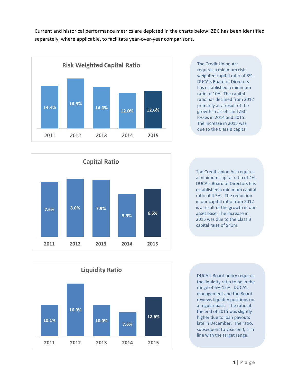Current and historical performance metrics are depicted in the charts below. ZBC has been identified separately, where applicable, to facilitate year-over-year comparisons.



The Credit Union Act requires a minimum risk weighted capital ratio of 8%. DUCA's Board of Directors has established a minimum ratio of 10%. The capital ratio has declined from 2012 primarily as a result of the growth in assets and ZBC losses in 2014 and 2015. The increase in 2015 was due to the Class B capital



The Credit Union Act requires a minimum capital ratio of 4%. DUCA's Board of Directors has established a minimum capital ratio of 4.5%. The reduction in our capital ratio from 2012 is a result of the growth in our asset base. The increase in 2015 was due to the Class B capital raise of \$41m.



DUCA's Board policy requires the liquidity ratio to be in the range of 6%-12%. DUCA's management and the Board reviews liquidity positions on a regular basis. The ratio at the end of 2015 was slightly higher due to loan payouts late in December. The ratio, subsequent to year-end, is in line with the target range.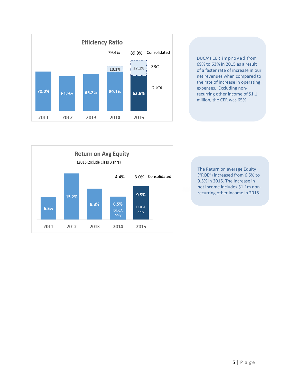

DUCA's CER improved from 69% to 63% in 2015 as a result of a faster rate of increase in our net revenues when compared to the rate of increase in operating expenses. Excluding nonrecurring other income of \$1.1 million, the CER was 65%



The Return on average Equity ("ROE") increased from 6.5% to 9.5% in 2015. The increase in net income includes \$1.1m nonrecurring other income in 2015.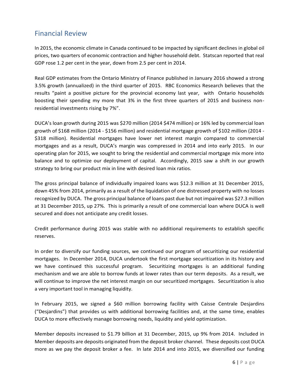## Financial Review

In 2015, the economic climate in Canada continued to be impacted by significant declines in global oil prices, two quarters of economic contraction and higher household debt. Statscan reported that real GDP rose 1.2 per cent in the year, down from 2.5 per cent in 2014.

Real GDP estimates from the Ontario Ministry of Finance published in January 2016 showed a strong 3.5% growth (annualized) in the third quarter of 2015. RBC Economics Research believes that the results "paint a positive picture for the provincial economy last year, with Ontario households boosting their spending my more that 3% in the first three quarters of 2015 and business nonresidential investments rising by 7%".

DUCA's loan growth during 2015 was \$270 million (2014 \$474 million) or 16% led by commercial loan growth of \$168 million (2014 - \$156 million) and residential mortgage growth of \$102 million (2014 - \$318 million). Residential mortgages have lower net interest margin compared to commercial mortgages and as a result, DUCA's margin was compressed in 2014 and into early 2015. In our operating plan for 2015, we sought to bring the residential and commercial mortgage mix more into balance and to optimize our deployment of capital. Accordingly, 2015 saw a shift in our growth strategy to bring our product mix in line with desired loan mix ratios.

The gross principal balance of individually impaired loans was \$12.3 million at 31 December 2015, down 45% from 2014, primarily as a result of the liquidation of one distressed property with no losses recognized by DUCA. The gross principal balance of loans past due but not impaired was \$27.3 million at 31 December 2015, up 27%. This is primarily a result of one commercial loan where DUCA is well secured and does not anticipate any credit losses.

Credit performance during 2015 was stable with no additional requirements to establish specific reserves.

In order to diversify our funding sources, we continued our program of securitizing our residential mortgages. In December 2014, DUCA undertook the first mortgage securitization in its history and we have continued this successful program. Securitizing mortgages is an additional funding mechanism and we are able to borrow funds at lower rates than our term deposits. As a result, we will continue to improve the net interest margin on our securitized mortgages. Securitization is also a very important tool in managing liquidity.

In February 2015, we signed a \$60 million borrowing facility with Caisse Centrale Desjardins ("Desjardins") that provides us with additional borrowing facilities and, at the same time, enables DUCA to more effectively manage borrowing needs, liquidity and yield optimization.

Member deposits increased to \$1.79 billion at 31 December, 2015, up 9% from 2014. Included in Member deposits are deposits originated from the deposit broker channel. These deposits cost DUCA more as we pay the deposit broker a fee. In late 2014 and into 2015, we diversified our funding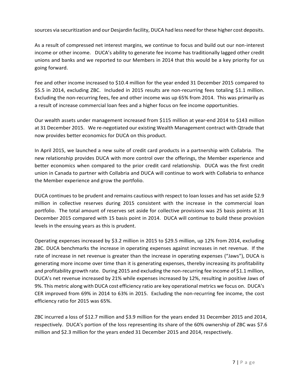sources via securitization and our Desjardin facility, DUCA had less need for these higher cost deposits.

As a result of compressed net interest margins, we continue to focus and build out our non-interest income or other income. DUCA's ability to generate fee income has traditionally lagged other credit unions and banks and we reported to our Members in 2014 that this would be a key priority for us going forward.

Fee and other income increased to \$10.4 million for the year ended 31 December 2015 compared to \$5.5 in 2014, excluding ZBC. Included in 2015 results are non-recurring fees totaling \$1.1 million. Excluding the non-recurring fees, fee and other income was up 65% from 2014. This was primarily as a result of increase commercial loan fees and a higher focus on fee income opportunities.

Our wealth assets under management increased from \$115 million at year-end 2014 to \$143 million at 31 December 2015. We re-negotiated our existing Wealth Management contract with Qtrade that now provides better economics for DUCA on this product.

In April 2015, we launched a new suite of credit card products in a partnership with Collabria. The new relationship provides DUCA with more control over the offerings, the Member experience and better economics when compared to the prior credit card relationship. DUCA was the first credit union in Canada to partner with Collabria and DUCA will continue to work with Collabria to enhance the Member experience and grow the portfolio.

DUCA continues to be prudent and remains cautious with respect to loan losses and has set aside \$2.9 million in collective reserves during 2015 consistent with the increase in the commercial loan portfolio. The total amount of reserves set aside for collective provisions was 25 basis points at 31 December 2015 compared with 15 basis point in 2014. DUCA will continue to build these provision levels in the ensuing years as this is prudent.

Operating expenses increased by \$3.2 million in 2015 to \$29.5 million, up 12% from 2014, excluding ZBC. DUCA benchmarks the increase in operating expenses against increases in net revenue. If the rate of increase in net revenue is greater than the increase in operating expenses ("Jaws"), DUCA is generating more income over time than it is generating expenses, thereby increasing its profitability and profitability growth rate. During 2015 and excluding the non-recurring fee income of \$1.1 million, DUCA's net revenue increased by 21% while expenses increased by 12%, resulting in positive Jaws of 9%. This metric along with DUCA cost efficiency ratio are key operational metrics we focus on. DUCA's CER improved from 69% in 2014 to 63% in 2015. Excluding the non-recurring fee income, the cost efficiency ratio for 2015 was 65%.

ZBC incurred a loss of \$12.7 million and \$3.9 million for the years ended 31 December 2015 and 2014, respectively. DUCA's portion of the loss representing its share of the 60% ownership of ZBC was \$7.6 million and \$2.3 million for the years ended 31 December 2015 and 2014, respectively.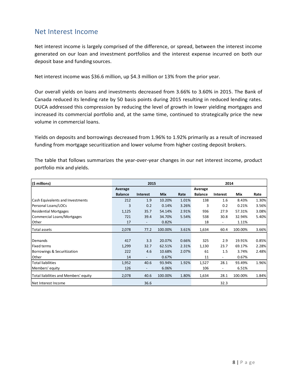### Net Interest Income

Net interest income is largely comprised of the difference, or spread, between the interest income generated on our loan and investment portfolios and the interest expense incurred on both our deposit base and funding sources.

Net interest income was \$36.6 million, up \$4.3 million or 13% from the prior year.

Our overall yields on loans and investments decreased from 3.66% to 3.60% in 2015. The Bank of Canada reduced its lending rate by 50 basis points during 2015 resulting in reduced lending rates. DUCA addressed this compression by reducing the level of growth in lower yielding mortgages and increased its commercial portfolio and, at the same time, continued to strategically price the new volume in commercial loans.

Yields on deposits and borrowings decreased from 1.96% to 1.92% primarily as a result of increased funding from mortgage securitization and lower volume from higher costing deposit brokers.

| (\$ millions)                           |                | 2015                     |            |       |                | 2014                     |         |       |
|-----------------------------------------|----------------|--------------------------|------------|-------|----------------|--------------------------|---------|-------|
|                                         | Average        |                          |            |       | Average        |                          |         |       |
|                                         | <b>Balance</b> | <b>Interest</b>          | <b>Mix</b> | Rate  | <b>Balance</b> | <b>Interest</b>          | Mix     | Rate  |
| <b>Cash Equivalents and Investments</b> | 212            | 1.9                      | 10.20%     | 1.01% | 138            | 1.6                      | 8.43%   | 1.30% |
| Personal Loans/LOCs                     | 3              | 0.2                      | 0.14%      | 3.26% | 3              | 0.2                      | 0.21%   | 3.56% |
| <b>Residential Mortgages</b>            | 1,125          | 35.7                     | 54.14%     | 2.91% | 936            | 27.9                     | 57.31%  | 3.08% |
| Commercial Loans/Mortgages              | 721            | 39.4                     | 34.70%     | 5.54% | 538            | 30.8                     | 32.94%  | 5.40% |
| Other                                   | 17             |                          | 0.82%      |       | 18             |                          | 1.11%   |       |
| Total assets                            | 2,078          | 77.2                     | 100.00%    | 3.61% | 1,634          | 60.4                     | 100.00% | 3.66% |
|                                         |                |                          |            |       |                |                          |         |       |
| Demands                                 | 417            | 3.3                      | 20.07%     | 0.66% | 325            | 2.9                      | 19.91%  | 0.85% |
| <b>Fixed terms</b>                      | 1,299          | 32.7                     | 62.51%     | 2.31% | 1,130          | 23.7                     | 69.17%  | 2.28% |
| Borrowings & Securitization             | 222            | 4.6                      | 10.68%     | 2.07% | 61             | 1.5                      | 3.74%   | 2.48% |
| Other                                   | 14             | $\overline{\phantom{a}}$ | 0.67%      |       | 11             | $\overline{\phantom{a}}$ | 0.67%   |       |
| <b>Total liabilities</b>                | 1,952          | 40.6                     | 93.94%     | 1.92% | 1,527          | 28.1                     | 93.49%  | 1.96% |
| Members' equity                         | 126            | $\overline{\phantom{a}}$ | 6.06%      |       | 106            | $\overline{\phantom{0}}$ | 6.51%   |       |
| Total liabilities and Members' equity   | 2,078          | 40.6                     | 100.00%    | 1.80% | 1,634          | 28.1                     | 100.00% | 1.84% |
| Net Interest Income                     |                | 36.6                     |            |       |                | 32.3                     |         |       |

The table that follows summarizes the year-over-year changes in our net interest income, product portfolio mix and yields.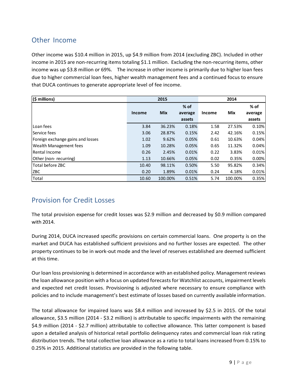# Other Income

Other income was \$10.4 million in 2015, up \$4.9 million from 2014 (excluding ZBC). Included in other income in 2015 are non-recurring items totaling \$1.1 million. Excluding the non-recurring items, other income was up \$3.8 million or 69%. The increase in other income is primarily due to higher loan fees due to higher commercial loan fees, higher wealth management fees and a continued focus to ensure that DUCA continues to generate appropriate level of fee income.

| $ $ (\$ millions)                 | 2015   |            |         | 2014          |            |         |
|-----------------------------------|--------|------------|---------|---------------|------------|---------|
|                                   |        |            | $%$ of  |               |            | % of    |
|                                   | Income | <b>Mix</b> | average | <b>Income</b> | <b>Mix</b> | average |
|                                   |        |            | assets  |               |            | assets  |
| Loan fees                         | 3.84   | 36.23%     | 0.18%   | 1.58          | 27.53%     | 0.10%   |
| lService fees                     | 3.06   | 28.87%     | 0.15%   | 2.42          | 42.16%     | 0.15%   |
| Foreign exchange gains and losses | 1.02   | 9.62%      | 0.05%   | 0.61          | 10.63%     | 0.04%   |
| Wealth Management fees            | 1.09   | 10.28%     | 0.05%   | 0.65          | 11.32%     | 0.04%   |
| Rental Income                     | 0.26   | 2.45%      | 0.01%   | 0.22          | 3.83%      | 0.01%   |
| Other (non-recurring)             | 1.13   | 10.66%     | 0.05%   | 0.02          | 0.35%      | 0.00%   |
| Total before ZBC                  | 10.40  | 98.11%     | 0.50%   | 5.50          | 95.82%     | 0.34%   |
| ZBC                               | 0.20   | 1.89%      | 0.01%   | 0.24          | 4.18%      | 0.01%   |
| Total                             | 10.60  | 100.00%    | 0.51%   | 5.74          | 100.00%    | 0.35%   |

# Provision for Credit Losses

The total provision expense for credit losses was \$2.9 million and decreased by \$0.9 million compared with 2014.

During 2014, DUCA increased specific provisions on certain commercial loans. One property is on the market and DUCA has established sufficient provisions and no further losses are expected. The other property continues to be in work-out mode and the level of reserves established are deemed sufficient at this time.

Our loan loss provisioning is determined in accordance with an established policy. Management reviews the loan allowance position with a focus on updated forecasts for Watchlist accounts, impairment levels and expected net credit losses. Provisioning is adjusted where necessary to ensure compliance with policies and to include management's best estimate of losses based on currently available information.

The total allowance for impaired loans was \$8.4 million and increased by \$2.5 in 2015. Of the total allowance, \$3.5 million (2014 - \$3.2 million) is attributable to specific impairments with the remaining \$4.9 million (2014 - \$2.7 million) attributable to collective allowance. This latter component is based upon a detailed analysis of historical retail portfolio delinquency rates and commercial loan risk rating distribution trends. The total collective loan allowance as a ratio to total loans increased from 0.15% to 0.25% in 2015. Additional statistics are provided in the following table.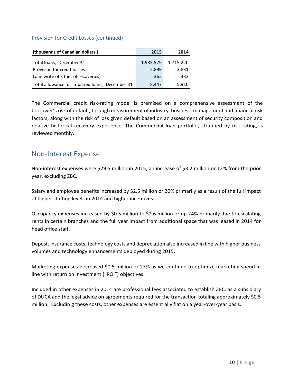| (thousands of Canadian dollars)                 | 2015      | 2014      |
|-------------------------------------------------|-----------|-----------|
| Total loans, December 31                        | 1,985,529 | 1,715,220 |
| Provision for credit losses                     | 2,899     | 3,831     |
| Loan write offs (net of recoveries)             | 362       | 333       |
| Total allowance for impaired loans, December 31 | 8,447     | 5,910     |

#### Provision for Credit Losses (continued)

The Commercial credit risk-rating model is premised on a comprehensive assessment of the borrower's risk of default, through measurement of industry, business, management and financial risk factors, along with the risk of loss given default based on an assessment of security composition and relative historical recovery experience. The Commercial loan portfolio, stratified by risk rating, is reviewed monthly.

### Non-Interest Expense

Non-interest expenses were \$29.5 million in 2015, an increase of \$3.2 million or 12% from the prior year, excluding ZBC.

Salary and employee benefits increased by \$2.5 million or 20% primarily as a result of the full impact of higher staffing levels in 2014 and higher incentives.

Occupancy expenses increased by \$0.5 million to \$2.6 million or up 24% primarily due to escalating rents in certain branches and the full year impact from additional space that was leased in 2014 for head office staff.

Deposit insurance costs, technology costs and depreciation also increased in line with higher business volumes and technology enhancements deployed during 2015.

Marketing expenses decreased \$0.5 million or 27% as we continue to optimize marketing spend in line with return on investment ("ROI") objectives.

Included in other expenses in 2014 are professional fees associated to establish ZBC, as a subsidiary of DUCA and the legal advice on agreements required for the transaction totaling approximately \$0.5 million. Excludin g these costs, other expenses are essentially flat on a year-over-year basis.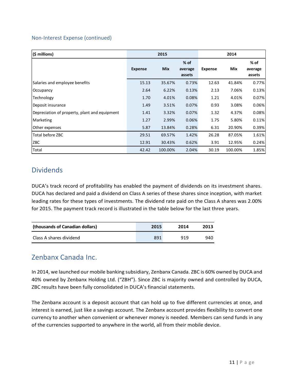#### Non-Interest Expense (continued)

| $(5 \text{ millions})$                        | 2015           |            |                             | 2014           |         |                           |  |
|-----------------------------------------------|----------------|------------|-----------------------------|----------------|---------|---------------------------|--|
|                                               | <b>Expense</b> | <b>Mix</b> | $%$ of<br>average<br>assets | <b>Expense</b> | Mix     | % of<br>average<br>assets |  |
| Salaries and employee benefits                | 15.13          | 35.67%     | 0.73%                       | 12.63          | 41.84%  | 0.77%                     |  |
| Occupancy                                     | 2.64           | 6.22%      | 0.13%                       | 2.13           | 7.06%   | 0.13%                     |  |
| Technology                                    | 1.70           | 4.01%      | 0.08%                       | 1.21           | 4.01%   | 0.07%                     |  |
| Deposit insurance                             | 1.49           | 3.51%      | 0.07%                       | 0.93           | 3.08%   | 0.06%                     |  |
| Depreciation of property, plant and equipment | 1.41           | 3.32%      | 0.07%                       | 1.32           | 4.37%   | 0.08%                     |  |
| Marketing                                     | 1.27           | 2.99%      | 0.06%                       | 1.75           | 5.80%   | 0.11%                     |  |
| Other expenses                                | 5.87           | 13.84%     | 0.28%                       | 6.31           | 20.90%  | 0.39%                     |  |
| Total before ZBC                              | 29.51          | 69.57%     | 1.42%                       | 26.28          | 87.05%  | 1.61%                     |  |
| <b>ZBC</b>                                    | 12.91          | 30.43%     | 0.62%                       | 3.91           | 12.95%  | 0.24%                     |  |
| Total                                         | 42.42          | 100.00%    | 2.04%                       | 30.19          | 100.00% | 1.85%                     |  |

### **Dividends**

DUCA's track record of profitability has enabled the payment of dividends on its investment shares. DUCA has declared and paid a dividend on Class A series of these shares since inception, with market leading rates for these types of investments. The dividend rate paid on the Class A shares was 2.00% for 2015. The payment track record is illustrated in the table below for the last three years.

| (thousands of Canadian dollars) | 2015 | 2014 | 2013 |
|---------------------------------|------|------|------|
| Class A shares dividend         | 891  | 919  | 940  |

### Zenbanx Canada Inc.

In 2014, we launched our mobile banking subsidiary, Zenbanx Canada. ZBC is 60% owned by DUCA and 40% owned by Zenbanx Holding Ltd. ("ZBH"). Since ZBC is majority owned and controlled by DUCA, ZBC results have been fully consolidated in DUCA's financial statements.

The Zenbanx account is a deposit account that can hold up to five different currencies at once, and interest is earned, just like a savings account. The Zenbanx account provides flexibility to convert one currency to another when convenient or whenever money is needed. Members can send funds in any of the currencies supported to anywhere in the world, all from their mobile device.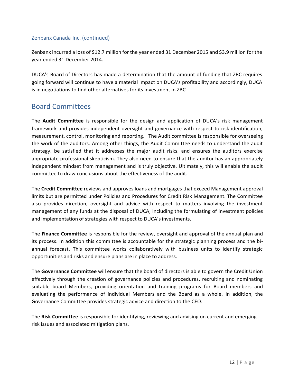#### Zenbanx Canada Inc. (continued)

Zenbanx incurred a loss of \$12.7 million for the year ended 31 December 2015 and \$3.9 million for the year ended 31 December 2014.

DUCA's Board of Directors has made a determination that the amount of funding that ZBC requires going forward will continue to have a material impact on DUCA's profitability and accordingly, DUCA is in negotiations to find other alternatives for its investment in ZBC

### Board Committees

The **Audit Committee** is responsible for the design and application of DUCA's risk management framework and provides independent oversight and governance with respect to risk identification, measurement, control, monitoring and reporting. The Audit committee is responsible for overseeing the work of the auditors. Among other things, the Audit Committee needs to understand the audit strategy, be satisfied that it addresses the major audit risks, and ensures the auditors exercise appropriate professional skepticism. They also need to ensure that the auditor has an appropriately independent mindset from management and is truly objective. Ultimately, this will enable the audit committee to draw conclusions about the effectiveness of the audit.

The **Credit Committee** reviews and approves loans and mortgages that exceed Management approval limits but are permitted under Policies and Procedures for Credit Risk Management. The Committee also provides direction, oversight and advice with respect to matters involving the investment management of any funds at the disposal of DUCA, including the formulating of investment policies and implementation of strategies with respect to DUCA's investments.

The **Finance Committee** is responsible for the review, oversight and approval of the annual plan and its process. In addition this committee is accountable for the strategic planning process and the biannual forecast. This committee works collaboratively with business units to identify strategic opportunities and risks and ensure plans are in place to address.

The **Governance Committee** will ensure that the board of directors is able to govern the Credit Union effectively through the creation of governance policies and procedures, recruiting and nominating suitable board Members, providing orientation and training programs for Board members and evaluating the performance of individual Members and the Board as a whole. In addition, the Governance Committee provides strategic advice and direction to the CEO.

The **Risk Committee** is responsible for identifying, reviewing and advising on current and emerging risk issues and associated mitigation plans.